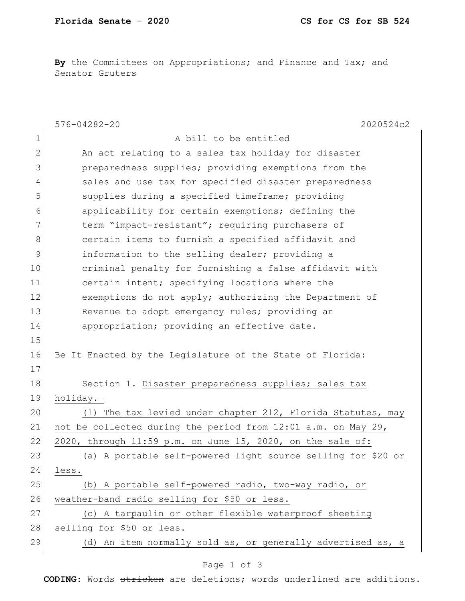By the Committees on Appropriations; and Finance and Tax; and Senator Gruters

|                | $576 - 04282 - 20$<br>2020524c2                               |
|----------------|---------------------------------------------------------------|
| $\mathbf 1$    | A bill to be entitled                                         |
| $\overline{2}$ | An act relating to a sales tax holiday for disaster           |
| 3              | preparedness supplies; providing exemptions from the          |
| 4              | sales and use tax for specified disaster preparedness         |
| 5              | supplies during a specified timeframe; providing              |
| 6              | applicability for certain exemptions; defining the            |
| 7              | term "impact-resistant"; requiring purchasers of              |
| $8\,$          | certain items to furnish a specified affidavit and            |
| 9              | information to the selling dealer; providing a                |
| 10             | criminal penalty for furnishing a false affidavit with        |
| 11             | certain intent; specifying locations where the                |
| 12             | exemptions do not apply; authorizing the Department of        |
| 13             | Revenue to adopt emergency rules; providing an                |
| 14             | appropriation; providing an effective date.                   |
| 15             |                                                               |
| 16             | Be It Enacted by the Legislature of the State of Florida:     |
| 17             |                                                               |
| 18             | Section 1. Disaster preparedness supplies; sales tax          |
| 19             | holiday.-                                                     |
| 20             | (1) The tax levied under chapter 212, Florida Statutes, may   |
| 21             | not be collected during the period from 12:01 a.m. on May 29, |
| 22             | 2020, through 11:59 p.m. on June 15, 2020, on the sale of:    |
| 23             | (a) A portable self-powered light source selling for \$20 or  |
| 24             | less.                                                         |
| 25             | (b) A portable self-powered radio, two-way radio, or          |
| 26             | weather-band radio selling for \$50 or less.                  |
| 27             | (c) A tarpaulin or other flexible waterproof sheeting         |
| 28             | selling for \$50 or less.                                     |
| 29             | (d) An item normally sold as, or generally advertised as, a   |
|                |                                                               |

## Page 1 of 3

**CODING**: Words stricken are deletions; words underlined are additions.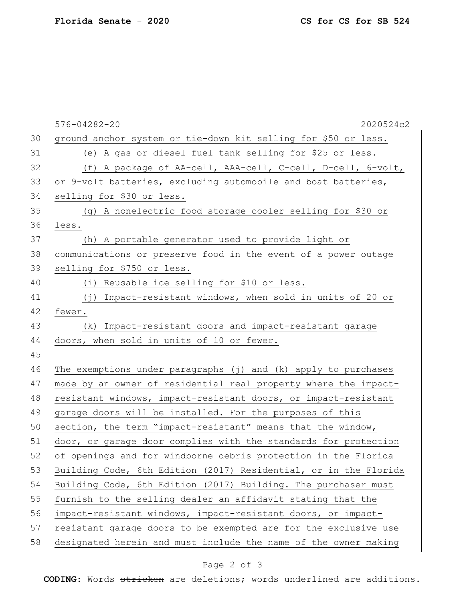|    | 2020524c2<br>$576 - 04282 - 20$                                  |
|----|------------------------------------------------------------------|
| 30 | ground anchor system or tie-down kit selling for \$50 or less.   |
| 31 | (e) A gas or diesel fuel tank selling for \$25 or less.          |
| 32 | (f) A package of AA-cell, AAA-cell, C-cell, D-cell, 6-volt,      |
| 33 | or 9-volt batteries, excluding automobile and boat batteries,    |
| 34 | selling for \$30 or less.                                        |
| 35 | (g) A nonelectric food storage cooler selling for \$30 or        |
| 36 | less.                                                            |
| 37 | (h) A portable generator used to provide light or                |
| 38 | communications or preserve food in the event of a power outage   |
| 39 | selling for \$750 or less.                                       |
| 40 | (i) Reusable ice selling for \$10 or less.                       |
| 41 | (j) Impact-resistant windows, when sold in units of 20 or        |
| 42 | fewer.                                                           |
| 43 | Impact-resistant doors and impact-resistant garage<br>(k)        |
| 44 | doors, when sold in units of 10 or fewer.                        |
| 45 |                                                                  |
| 46 | The exemptions under paragraphs (j) and (k) apply to purchases   |
| 47 | made by an owner of residential real property where the impact-  |
| 48 | resistant windows, impact-resistant doors, or impact-resistant   |
| 49 | garage doors will be installed. For the purposes of this         |
| 50 | section, the term "impact-resistant" means that the window,      |
| 51 | door, or garage door complies with the standards for protection  |
| 52 | of openings and for windborne debris protection in the Florida   |
| 53 | Building Code, 6th Edition (2017) Residential, or in the Florida |
| 54 | Building Code, 6th Edition (2017) Building. The purchaser must   |
| 55 | furnish to the selling dealer an affidavit stating that the      |
| 56 | impact-resistant windows, impact-resistant doors, or impact-     |
| 57 | resistant garage doors to be exempted are for the exclusive use  |
| 58 | designated herein and must include the name of the owner making  |
|    |                                                                  |

## Page 2 of 3

**CODING**: Words stricken are deletions; words underlined are additions.